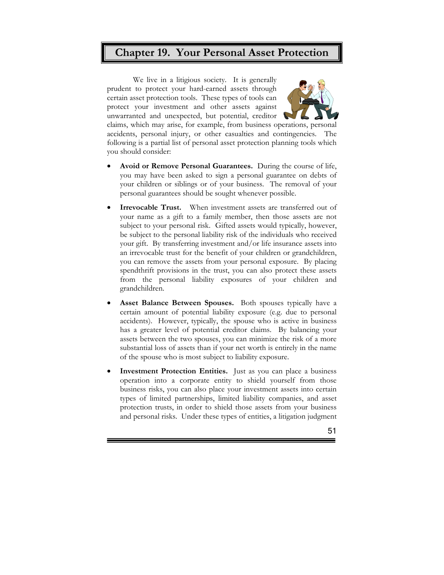## **Chapter 19. Your Personal Asset Protection**

We live in a litigious society. It is generally prudent to protect your hard-earned assets through certain asset protection tools. These types of tools can protect your investment and other assets against unwarranted and unexpected, but potential, creditor



claims, which may arise, for example, from business operations, personal accidents, personal injury, or other casualties and contingencies. The following is a partial list of personal asset protection planning tools which you should consider:

- **Avoid or Remove Personal Guarantees.** During the course of life, you may have been asked to sign a personal guarantee on debts of your children or siblings or of your business. The removal of your personal guarantees should be sought whenever possible.
- **Irrevocable Trust.** When investment assets are transferred out of your name as a gift to a family member, then those assets are not subject to your personal risk. Gifted assets would typically, however, be subject to the personal liability risk of the individuals who received your gift. By transferring investment and/or life insurance assets into an irrevocable trust for the benefit of your children or grandchildren, you can remove the assets from your personal exposure. By placing spendthrift provisions in the trust, you can also protect these assets from the personal liability exposures of your children and grandchildren.
- **Asset Balance Between Spouses.** Both spouses typically have a certain amount of potential liability exposure (e.g. due to personal accidents). However, typically, the spouse who is active in business has a greater level of potential creditor claims. By balancing your assets between the two spouses, you can minimize the risk of a more substantial loss of assets than if your net worth is entirely in the name of the spouse who is most subject to liability exposure.
- **Investment Protection Entities.** Just as you can place a business operation into a corporate entity to shield yourself from those business risks, you can also place your investment assets into certain types of limited partnerships, limited liability companies, and asset protection trusts, in order to shield those assets from your business and personal risks. Under these types of entities, a litigation judgment

E

51